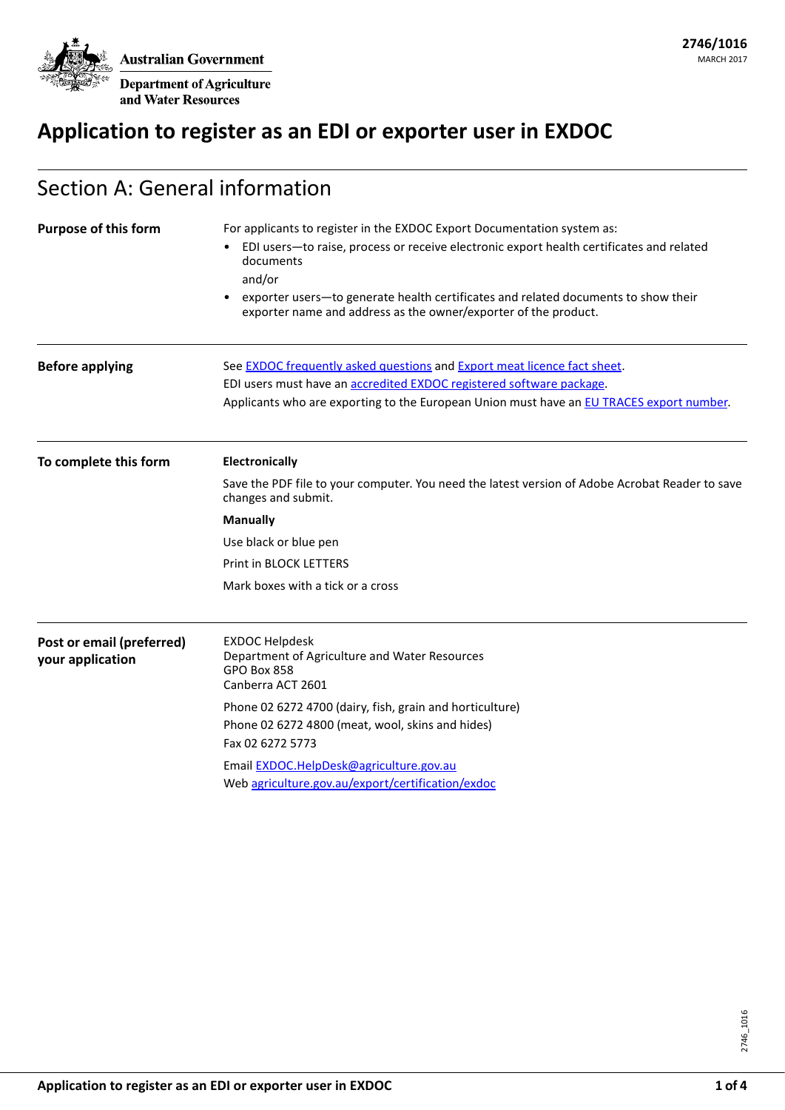**Australian Government** 

**Department of Agriculture** and Water Resources

# **Application to register as an EDI or exporter user in EXDOC**

| Section A: General information                |                                                                                                                                                                                                                                                                                                                                                       |  |  |  |
|-----------------------------------------------|-------------------------------------------------------------------------------------------------------------------------------------------------------------------------------------------------------------------------------------------------------------------------------------------------------------------------------------------------------|--|--|--|
| <b>Purpose of this form</b>                   | For applicants to register in the EXDOC Export Documentation system as:<br>EDI users-to raise, process or receive electronic export health certificates and related<br>documents<br>and/or<br>exporter users-to generate health certificates and related documents to show their<br>exporter name and address as the owner/exporter of the product.   |  |  |  |
| <b>Before applying</b>                        | See <b>EXDOC</b> frequently asked questions and Export meat licence fact sheet.<br>EDI users must have an accredited EXDOC registered software package.<br>Applicants who are exporting to the European Union must have an EU TRACES export number.                                                                                                   |  |  |  |
| To complete this form                         | <b>Electronically</b><br>Save the PDF file to your computer. You need the latest version of Adobe Acrobat Reader to save<br>changes and submit.<br><b>Manually</b><br>Use black or blue pen<br><b>Print in BLOCK LETTERS</b><br>Mark boxes with a tick or a cross                                                                                     |  |  |  |
| Post or email (preferred)<br>your application | <b>EXDOC Helpdesk</b><br>Department of Agriculture and Water Resources<br><b>GPO Box 858</b><br>Canberra ACT 2601<br>Phone 02 6272 4700 (dairy, fish, grain and horticulture)<br>Phone 02 6272 4800 (meat, wool, skins and hides)<br>Fax 02 6272 5773<br>Email EXDOC.HelpDesk@agriculture.gov.au<br>Web agriculture.gov.au/export/certification/exdoc |  |  |  |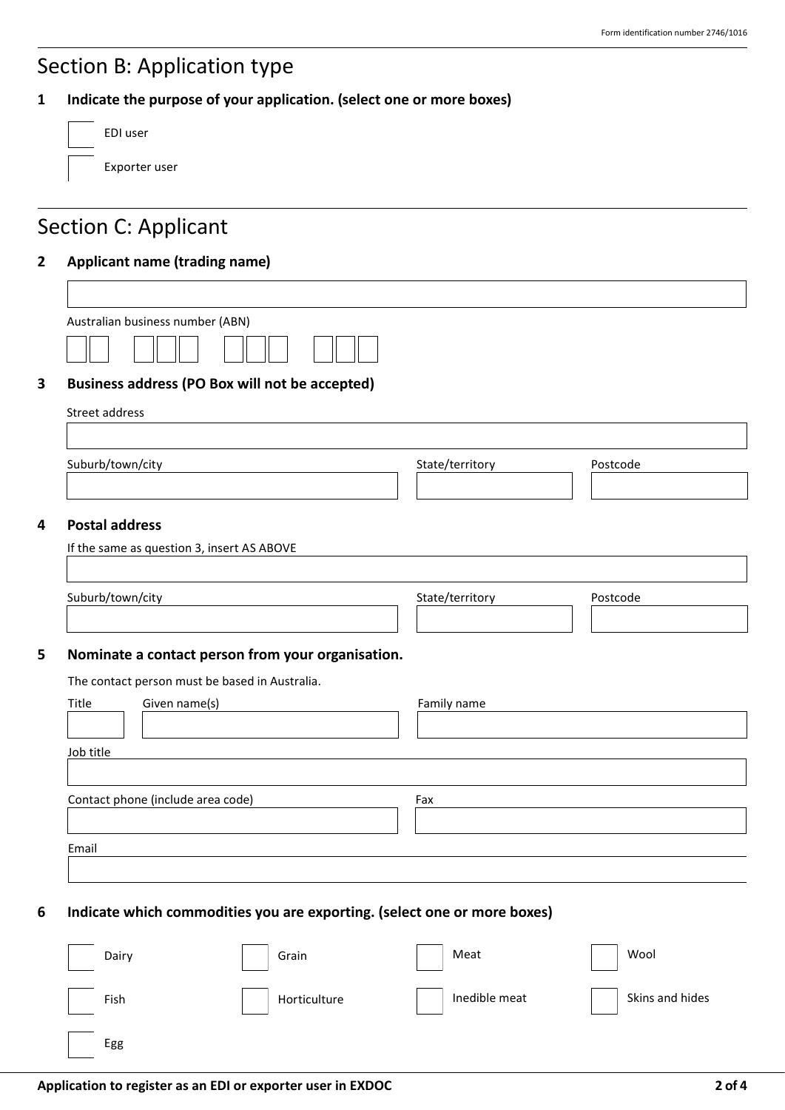## Section B: Application type

| Indicate the purpose of your application. (select one or more boxes) |  |  |  |  |  |
|----------------------------------------------------------------------|--|--|--|--|--|
|----------------------------------------------------------------------|--|--|--|--|--|

| EDI user      |
|---------------|
| Exporter user |

# Section C: Applicant

### **2 Applicant name (trading name)**

| Australian business number (ABN) |  |
|----------------------------------|--|
|                                  |  |

### **3 Business address (PO Box will not be accepted)**

| Street address |  |  |
|----------------|--|--|
|                |  |  |

Suburb/town/city extended the State/territory State/territory Postcode

### **4 Postal address**

| Suburb/town/city |                                                   | State/territory | Postcode |
|------------------|---------------------------------------------------|-----------------|----------|
|                  | Nominate a contact person from your organisation. |                 |          |
|                  | The contact person must be based in Australia.    |                 |          |
| Title            | Given name(s)                                     | Family name     |          |
|                  |                                                   |                 |          |
| Job title        |                                                   |                 |          |
|                  |                                                   |                 |          |
|                  | Contact phone (include area code)                 | Fax             |          |
|                  |                                                   |                 |          |
|                  |                                                   |                 |          |

### **6 Indicate which commodities you are exporting. (select one or more boxes)**

| Dairy | Grain        | Meat          | Wool            |
|-------|--------------|---------------|-----------------|
| Fish  | Horticulture | Inedible meat | Skins and hides |
| Egg   |              |               |                 |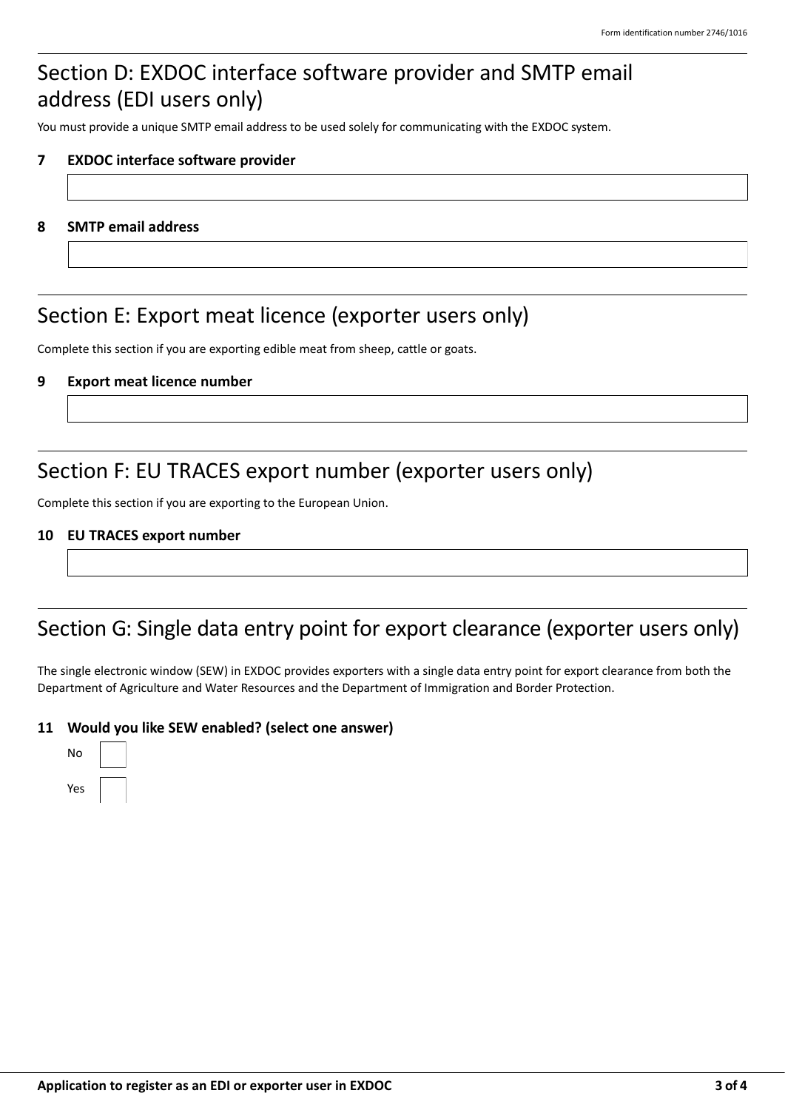## Section D: EXDOC interface software provider and SMTP email address (EDI users only)

You must provide a unique SMTP email address to be used solely for communicating with the EXDOC system.

### **7 EXDOC interface software provider**

#### **8 SMTP email address**

### Section E: Export meat licence (exporter users only)

Complete this section if you are exporting edible meat from sheep, cattle or goats.

#### **9 Export meat licence number**

### Section F: EU TRACES export number (exporter users only)

Complete this section if you are exporting to the European Union.

#### **10 EU TRACES export number**

### Section G: Single data entry point for export clearance (exporter users only)

The single electronic window (SEW) in EXDOC provides exporters with a single data entry point for export clearance from both the Department of Agriculture and Water Resources and the Department of Immigration and Border Protection.

### **11 Would you like SEW enabled? (select one answer)**